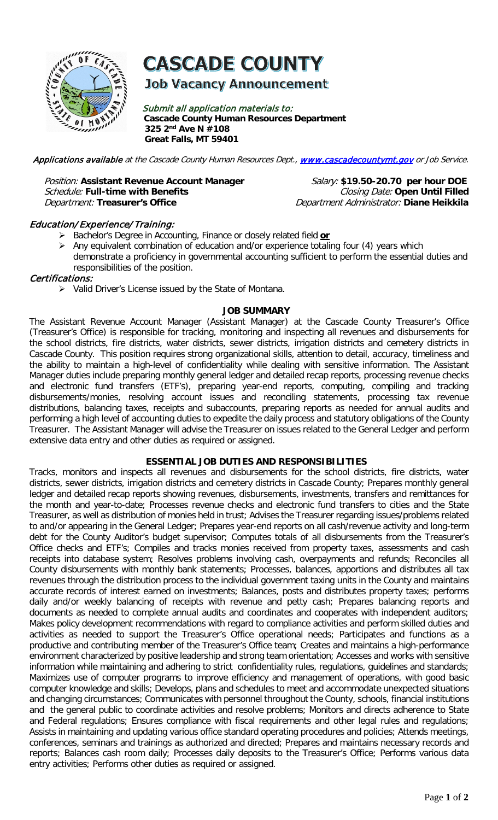

# **CASCADE COUNTY**

## **Job Vacancy Announcement**

Submit all application materials to: **Cascade County Human Resources Department 325 2nd Ave N #108 Great Falls, MT 59401** 

Applications available at the Cascade County Human Resources Dept., [www.cascadecountymt.gov](http://www.cascadecountymt.gov/) or Job Service.

#### Position: Assistant Revenue Account Manager Salary: \$19.50-20.70 per hour DOE Schedule: Full-time with Benefits **Closing Date: Open Until Filled** Department: **Treasurer's Office** Department Administrator: **Diane Heikkila**

#### Education/ Experience/ Training:

- Bachelor's Degree in Accounting, Finance or closely related field **or**
- $\triangleright$  Any equivalent combination of education and/or experience totaling four (4) years which demonstrate a proficiency in governmental accounting sufficient to perform the essential duties and responsibilities of the position.

#### Certifications:

 $\triangleright$  Valid Driver's License issued by the State of Montana.

#### **JOB SUMMARY**

The Assistant Revenue Account Manager (Assistant Manager) at the Cascade County Treasurer's Office (Treasurer's Office) is responsible for tracking, monitoring and inspecting all revenues and disbursements for the school districts, fire districts, water districts, sewer districts, irrigation districts and cemetery districts in Cascade County. This position requires strong organizational skills, attention to detail, accuracy, timeliness and the ability to maintain a high-level of confidentiality while dealing with sensitive information. The Assistant Manager duties include preparing monthly general ledger and detailed recap reports, processing revenue checks and electronic fund transfers (ETF's), preparing year-end reports, computing, compiling and tracking disbursements/monies, resolving account issues and reconciling statements, processing tax revenue distributions, balancing taxes, receipts and subaccounts, preparing reports as needed for annual audits and performing a high level of accounting duties to expedite the daily process and statutory obligations of the County Treasurer. The Assistant Manager will advise the Treasurer on issues related to the General Ledger and perform extensive data entry and other duties as required or assigned.

#### **ESSENTIAL JOB DUTIES AND RESPONSIBILITIES**

Tracks, monitors and inspects all revenues and disbursements for the school districts, fire districts, water districts, sewer districts, irrigation districts and cemetery districts in Cascade County; Prepares monthly general ledger and detailed recap reports showing revenues, disbursements, investments, transfers and remittances for the month and year-to-date; Processes revenue checks and electronic fund transfers to cities and the State Treasurer, as well as distribution of monies held in trust; Advises the Treasurer regarding issues/problems related to and/or appearing in the General Ledger; Prepares year-end reports on all cash/revenue activity and long-term debt for the County Auditor's budget supervisor; Computes totals of all disbursements from the Treasurer's Office checks and ETF's; Compiles and tracks monies received from property taxes, assessments and cash receipts into database system; Resolves problems involving cash, overpayments and refunds; Reconciles all County disbursements with monthly bank statements; Processes, balances, apportions and distributes all tax revenues through the distribution process to the individual government taxing units in the County and maintains accurate records of interest earned on investments; Balances, posts and distributes property taxes; performs daily and/or weekly balancing of receipts with revenue and petty cash; Prepares balancing reports and documents as needed to complete annual audits and coordinates and cooperates with independent auditors; Makes policy development recommendations with regard to compliance activities and perform skilled duties and activities as needed to support the Treasurer's Office operational needs; Participates and functions as a productive and contributing member of the Treasurer's Office team; Creates and maintains a high-performance environment characterized by positive leadership and strong team orientation; Accesses and works with sensitive information while maintaining and adhering to strict confidentiality rules, regulations, guidelines and standards; Maximizes use of computer programs to improve efficiency and management of operations, with good basic computer knowledge and skills; Develops, plans and schedules to meet and accommodate unexpected situations and changing circumstances; Communicates with personnel throughout the County, schools, financial institutions and the general public to coordinate activities and resolve problems; Monitors and directs adherence to State and Federal regulations; Ensures compliance with fiscal requirements and other legal rules and regulations; Assists in maintaining and updating various office standard operating procedures and policies; Attends meetings, conferences, seminars and trainings as authorized and directed; Prepares and maintains necessary records and reports; Balances cash room daily; Processes daily deposits to the Treasurer's Office; Performs various data entry activities; Performs other duties as required or assigned.